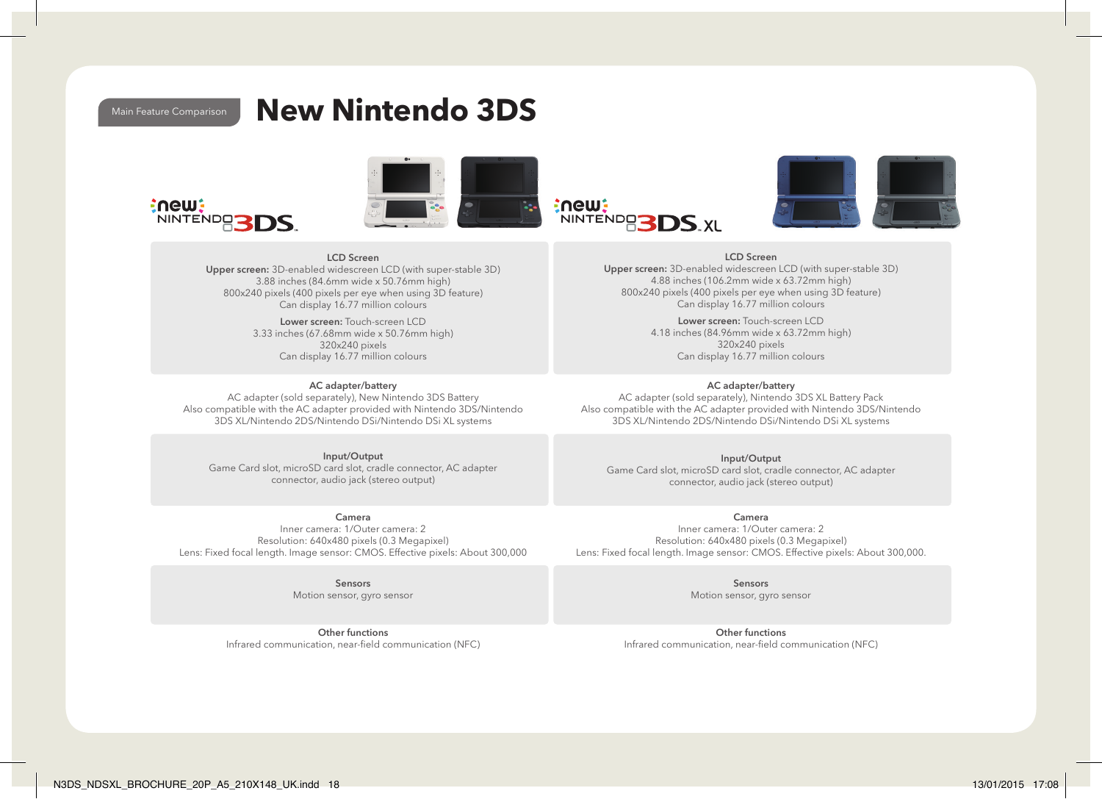# Main Feature Comparison **New Nintendo 3DS**









LCD Screen Upper screen: 3D-enabled widescreen LCD (with super-stable 3D) 4.88 inches (106.2mm wide x 63.72mm high) 800x240 pixels (400 pixels per eye when using 3D feature) Can display 16.77 million colours

> Lower screen: Touch-screen LCD 4.18 inches (84.96mm wide x 63.72mm high) 320x240 pixels Can display 16.77 million colours

## AC adapter/battery

AC adapter (sold separately), Nintendo 3DS XL Battery Pack Also compatible with the AC adapter provided with Nintendo 3DS/Nintendo 3DS XL/Nintendo 2DS/Nintendo DSi/Nintendo DSi XL systems

Input/Output Game Card slot, microSD card slot, cradle connector, AC adapter connector, audio jack (stereo output)

Camera Inner camera: 1/Outer camera: 2 Resolution: 640x480 pixels (0.3 Megapixel) Lens: Fixed focal length. Image sensor: CMOS. Effective pixels: About 300,000.

> Sensors Motion sensor, gyro sensor

Other functions Infrared communication, near-field communication (NFC)

#### LCD Screen Upper screen: 3D-enabled widescreen LCD (with super-stable 3D) 3.88 inches (84.6mm wide x 50.76mm high)

800x240 pixels (400 pixels per eye when using 3D feature) Can display 16.77 million colours

> Lower screen: Touch-screen LCD 3.33 inches (67.68mm wide x 50.76mm high) 320x240 pixels Can display 16.77 million colours

### AC adapter/battery

AC adapter (sold separately), New Nintendo 3DS Battery Also compatible with the AC adapter provided with Nintendo 3DS/Nintendo 3DS XL/Nintendo 2DS/Nintendo DSi/Nintendo DSi XL systems

Input/Output Game Card slot, microSD card slot, cradle connector, AC adapter connector, audio jack (stereo output)

# Camera

Inner camera: 1/Outer camera: 2 Resolution: 640x480 pixels (0.3 Megapixel) Lens: Fixed focal length. Image sensor: CMOS. Effective pixels: About 300,000

> Sensors Motion sensor, gyro sensor

Other functions Infrared communication, near-field communication (NFC)